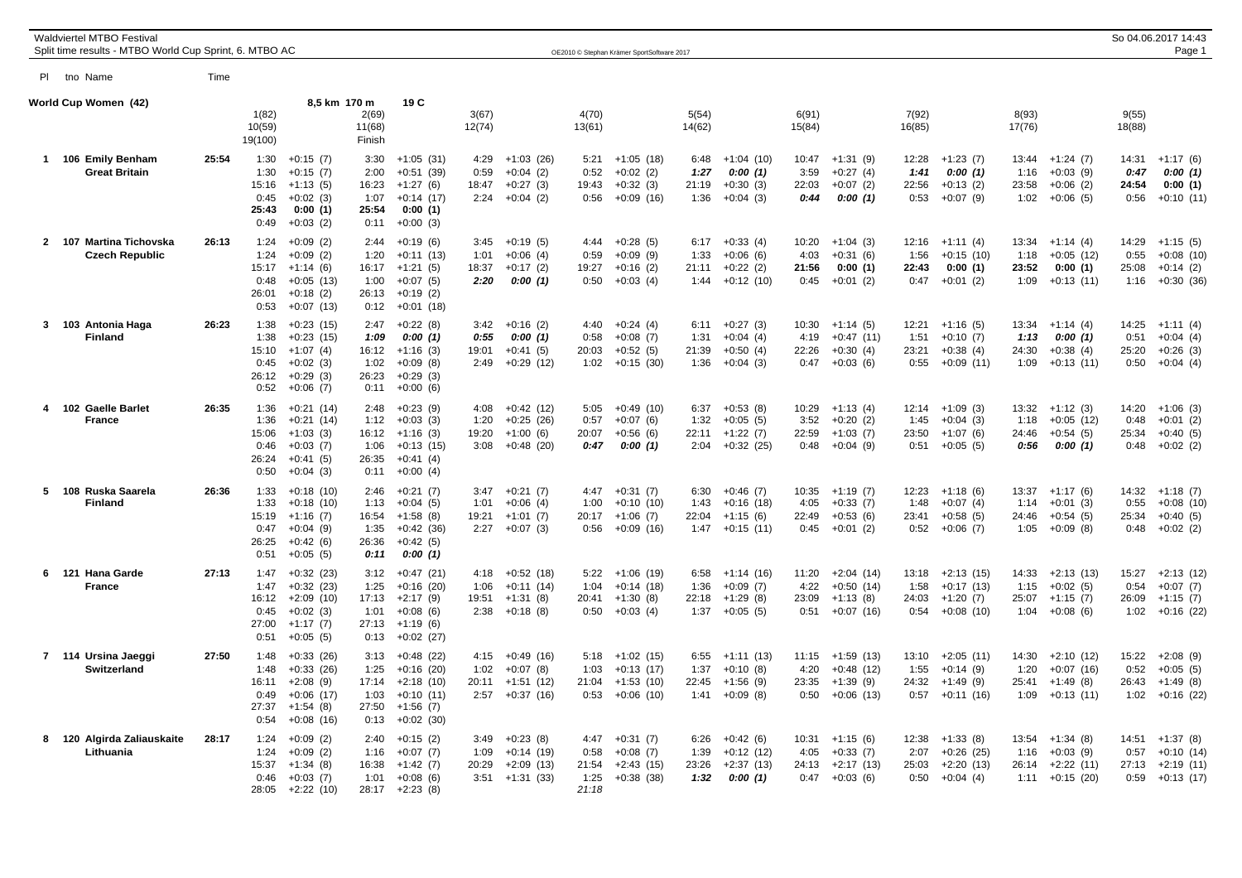|             | <b>Waldviertel MTBO Festival</b><br>Split time results - MTBO World Cup Sprint, 6. MTBO AC |       |                                                |                                                                                      |                                                |                                                                                       |                               |                                                              |                                        | OE2010 © Stephan Krämer SportSoftware 2017               |                               |                                                        |                                |                                                         |                                |                                                                |                                |                                                         | So 04.06.2017 14:43<br>Page 1  |                                                             |  |
|-------------|--------------------------------------------------------------------------------------------|-------|------------------------------------------------|--------------------------------------------------------------------------------------|------------------------------------------------|---------------------------------------------------------------------------------------|-------------------------------|--------------------------------------------------------------|----------------------------------------|----------------------------------------------------------|-------------------------------|--------------------------------------------------------|--------------------------------|---------------------------------------------------------|--------------------------------|----------------------------------------------------------------|--------------------------------|---------------------------------------------------------|--------------------------------|-------------------------------------------------------------|--|
|             | PI tno Name                                                                                | Time  |                                                |                                                                                      |                                                |                                                                                       |                               |                                                              |                                        |                                                          |                               |                                                        |                                |                                                         |                                |                                                                |                                |                                                         |                                |                                                             |  |
|             | World Cup Women (42)                                                                       |       | 1(82)<br>10(59)<br>19(100)                     | 8,5 km 170 m                                                                         | 2(69)<br>11(68)<br>Finish                      | 19 C                                                                                  | 3(67)<br>12(74)               |                                                              | 4(70)<br>13(61)                        |                                                          | 5(54)<br>14(62)               |                                                        | 6(91)<br>15(84)                |                                                         | 7(92)<br>16(85)                |                                                                | 8(93)<br>17(76)                |                                                         | 9(55)<br>18(88)                |                                                             |  |
| $\mathbf 1$ | 106 Emily Benham<br><b>Great Britain</b>                                                   | 25:54 | 1:30<br>1:30<br>15:16<br>0:45<br>25:43<br>0:49 | $+0:15(7)$<br>$+0:15(7)$<br>$+1:13(5)$<br>$+0:02(3)$<br>0:00(1)<br>$+0:03(2)$        | 3:30<br>2:00<br>16:23<br>1:07<br>25:54<br>0:11 | $+1:05(31)$<br>$+0:51(39)$<br>$+1:27(6)$<br>$+0:14(17)$<br>0:00(1)<br>$+0:00(3)$      | 4:29<br>0:59<br>18:47<br>2:24 | $+1:03(26)$<br>$+0:04(2)$<br>$+0:27(3)$<br>$+0:04(2)$        | 5:21<br>0:52<br>19:43<br>0:56          | $+1:05(18)$<br>$+0:02(2)$<br>$+0:32(3)$<br>$+0:09(16)$   | 6:48<br>1:27<br>21:19<br>1:36 | $+1:04(10)$<br>0:00(1)<br>$+0:30(3)$<br>$+0:04(3)$     | 10:47<br>3:59<br>22:03<br>0:44 | $+1:31(9)$<br>$+0:27(4)$<br>$+0:07(2)$<br>0:00(1)       | 12:28<br>1:41<br>22:56<br>0:53 | $+1:23(7)$<br>0:00(1)<br>$+0:13(2)$<br>$+0:07(9)$              | 13:44<br>1:16<br>23:58<br>1:02 | $+1:24(7)$<br>$+0:03(9)$<br>$+0:06(2)$<br>$+0:06(5)$    | 14:31<br>0:47<br>24:54<br>0:56 | $+1:17(6)$<br>0:00(1)<br>0:00(1)<br>$+0:10(11)$             |  |
|             | 2 107 Martina Tichovska<br><b>Czech Republic</b>                                           | 26:13 | 1:24<br>1:24<br>15:17<br>0:48<br>26:01<br>0:53 | $+0:09(2)$<br>$+0:09(2)$<br>$+1:14(6)$<br>$+0:05(13)$<br>$+0:18(2)$<br>$+0:07(13)$   | 2:44<br>1:20<br>16:17<br>1:00<br>26:13<br>0:12 | $+0:19(6)$<br>$+0:11(13)$<br>$+1:21(5)$<br>$+0:07(5)$<br>$+0.19(2)$<br>$+0:01(18)$    | 3:45<br>1:01<br>18:37<br>2:20 | $+0:19(5)$<br>$+0:06(4)$<br>$+0:17(2)$<br>0:00(1)            | 4:44<br>0:59<br>19:27<br>0:50          | $+0:28(5)$<br>$+0:09(9)$<br>$+0:16(2)$<br>$+0:03(4)$     | 6:17<br>1:33<br>21:11<br>1:44 | $+0:33(4)$<br>$+0:06(6)$<br>$+0:22(2)$<br>$+0:12(10)$  | 10:20<br>4:03<br>21:56<br>0:45 | $+1:04(3)$<br>$+0:31(6)$<br>0:00(1)<br>$+0:01(2)$       | 12:16<br>1:56<br>22:43<br>0:47 | $+1:11(4)$<br>$+0:15(10)$<br>0:00(1)<br>$+0:01(2)$             | 13:34<br>1:18<br>23:52<br>1:09 | $+1:14(4)$<br>$+0:05(12)$<br>0:00(1)<br>$+0:13(11)$     | 14:29<br>0:55<br>25:08<br>1:16 | $+1:15(5)$<br>$+0:08(10)$<br>$+0:14(2)$<br>$+0:30(36)$      |  |
|             | 3 103 Antonia Haga<br><b>Finland</b>                                                       | 26:23 | 1:38<br>1:38<br>15:10<br>0:45<br>26:12<br>0:52 | $+0:23(15)$<br>$+0:23(15)$<br>$+1:07(4)$<br>$+0:02(3)$<br>$+0:29(3)$<br>$+0:06(7)$   | 2:47<br>1:09<br>16:12<br>1:02<br>26:23<br>0:11 | $+0:22(8)$<br>0:00(1)<br>$+1:16(3)$<br>$+0:09(8)$<br>$+0:29(3)$<br>$+0:00(6)$         | 3:42<br>0:55<br>19:01<br>2:49 | $+0:16(2)$<br>0:00(1)<br>$+0:41(5)$<br>$+0:29(12)$           | 4:40<br>0:58<br>20:03<br>1:02          | $+0:24(4)$<br>$+0:08(7)$<br>$+0.52(5)$<br>$+0:15(30)$    | 6:11<br>1:31<br>21:39<br>1:36 | $+0:27(3)$<br>$+0:04(4)$<br>$+0:50(4)$<br>$+0:04(3)$   | 10:30<br>4:19<br>22:26<br>0:47 | $+1:14(5)$<br>$+0:47(11)$<br>$+0:30(4)$<br>$+0:03(6)$   | 12:21<br>1:51<br>23:21<br>0:55 | $+1:16(5)$<br>$+0:10(7)$<br>$+0:38(4)$<br>$+0:09(11)$          | 13:34<br>1:13<br>24:30<br>1:09 | $+1:14(4)$<br>0:00(1)<br>$+0:38(4)$<br>$+0:13(11)$      | 14:25<br>0:51<br>25:20<br>0:50 | $+1:11(4)$<br>$+0:04(4)$<br>$+0:26(3)$<br>$+0:04(4)$        |  |
|             | 102 Gaelle Barlet<br><b>France</b>                                                         | 26:35 | 1:36<br>1:36<br>15:06<br>0:46<br>26:24<br>0:50 | $+0:21(14)$<br>$+0:21(14)$<br>$+1:03(3)$<br>$+0:03(7)$<br>$+0:41(5)$<br>$+0:04(3)$   | 2:48<br>1:12<br>16:12<br>1:06<br>26:35<br>0:11 | $+0:23(9)$<br>$+0:03(3)$<br>$+1:16(3)$<br>$+0:13(15)$<br>$+0:41(4)$<br>$+0:00(4)$     | 4:08<br>1:20<br>19:20<br>3:08 | $+0:42(12)$<br>$+0:25(26)$<br>$+1:00(6)$<br>$+0.48(20)$      | 5:05<br>0:57<br>20:07<br>0:47          | $+0:49(10)$<br>$+0:07(6)$<br>$+0.56(6)$<br>0:00(1)       | 6:37<br>1:32<br>22:11<br>2:04 | $+0:53(8)$<br>$+0:05(5)$<br>$+1:22(7)$<br>$+0:32(25)$  | 10:29<br>3:52<br>22:59<br>0:48 | $+1:13(4)$<br>$+0:20(2)$<br>$+1:03(7)$<br>$+0:04(9)$    | 12:14<br>1:45<br>23:50<br>0:51 | $+1:09(3)$<br>$+0:04(3)$<br>$+1:07(6)$<br>$+0:05(5)$           | 13:32<br>1:18<br>24:46<br>0:56 | $+1:12(3)$<br>$+0:05(12)$<br>$+0:54(5)$<br>0:00(1)      | 14:20<br>0:48<br>25:34<br>0:48 | $+1:06(3)$<br>$+0:01(2)$<br>$+0:40(5)$<br>$+0:02(2)$        |  |
|             | 5 108 Ruska Saarela<br><b>Finland</b>                                                      | 26:36 | 1:33<br>1:33<br>15:19<br>0:47<br>26:25<br>0:51 | $+0:18(10)$<br>$+0:18(10)$<br>$+1:16(7)$<br>$+0:04(9)$<br>$+0:42(6)$<br>$+0:05(5)$   | 2:46<br>1:13<br>16:54<br>1:35<br>26:36<br>0:11 | $+0:21(7)$<br>$+0:04(5)$<br>$+1:58(8)$<br>$+0:42(36)$<br>$+0:42(5)$<br>0:00(1)        | 3:47<br>1:01<br>19:21<br>2:27 | $+0:21(7)$<br>$+0:06(4)$<br>$+1:01(7)$<br>$+0:07(3)$         | 4:47<br>1:00<br>20:17<br>0:56          | $+0:31(7)$<br>$+0:10(10)$<br>$+1:06(7)$<br>$+0.09(16)$   | 6:30<br>1:43<br>22:04<br>1:47 | $+0:46(7)$<br>$+0:16(18)$<br>$+1:15(6)$<br>$+0:15(11)$ | 10:35<br>4:05<br>22:49<br>0:45 | $+1:19(7)$<br>$+0:33(7)$<br>$+0:53(6)$<br>$+0:01(2)$    | 12:23<br>1:48<br>23:41<br>0:52 | $+1:18(6)$<br>$+0:07(4)$<br>$+0:58(5)$<br>$+0:06(7)$           | 13:37<br>1:14<br>24:46<br>1:05 | $+1:17(6)$<br>$+0:01(3)$<br>$+0:54(5)$<br>$+0:09(8)$    | 14:32<br>0:55<br>25:34<br>0:48 | $+1:18(7)$<br>$+0:08(10)$<br>$+0:40(5)$<br>$+0:02(2)$       |  |
|             | 6 121 Hana Garde<br><b>France</b>                                                          | 27:13 | 1:47<br>1:47<br>16:12<br>0:45<br>27:00<br>0:51 | $+0:32(23)$<br>$+0:32(23)$<br>$+2:09(10)$<br>$+0:02(3)$<br>$+1:17(7)$<br>$+0:05(5)$  | 3:12<br>1:25<br>17:13<br>1:01<br>27:13<br>0:13 | $+0:47(21)$<br>$+0:16(20)$<br>$+2:17(9)$<br>$+0:08(6)$<br>$+1:19(6)$<br>$+0:02(27)$   | 4:18<br>1:06<br>19:51<br>2:38 | $+0:52(18)$<br>$+0:11(14)$<br>$+1:31(8)$<br>$+0:18(8)$       | 5:22<br>1:04<br>20:41<br>0:50          | $+1:06(19)$<br>$+0:14(18)$<br>$+1:30(8)$<br>$+0:03(4)$   | 6:58<br>1:36<br>22:18<br>1:37 | $+1:14(16)$<br>$+0:09(7)$<br>$+1:29(8)$<br>$+0:05(5)$  | 11:20<br>4:22<br>23:09<br>0:51 | $+2:04(14)$<br>$+0:50(14)$<br>$+1:13(8)$<br>$+0:07(16)$ | 1:58<br>24:03<br>0:54          | $13:18 + 2:13(15)$<br>$+0:17(13)$<br>$+1:20(7)$<br>$+0:08(10)$ | 14:33<br>1:15<br>25:07<br>1:04 | $+2:13(13)$<br>$+0:02(5)$<br>$+1:15(7)$<br>$+0:08(6)$   | 15:27<br>0:54<br>26:09         | $+2:13(12)$<br>$+0:07(7)$<br>$+1:15(7)$<br>$1:02 +0:16(22)$ |  |
|             | 7 114 Ursina Jaeggi<br>Switzerland                                                         | 27:50 | 1:48<br>1:48<br>16:11<br>0:49<br>27:37<br>0:54 | $+0:33(26)$<br>$+0:33(26)$<br>$+2:08(9)$<br>$+0:06(17)$<br>$+1:54(8)$<br>$+0:08(16)$ | 3:13<br>1:25<br>17:14<br>1:03<br>27:50<br>0:13 | $+0:48(22)$<br>$+0:16(20)$<br>$+2:18(10)$<br>$+0:10(11)$<br>$+1:56(7)$<br>$+0:02(30)$ | 1:02<br>20:11<br>2:57         | $4:15 +0:49(16)$<br>$+0:07(8)$<br>$+1:51(12)$<br>$+0:37(16)$ | 5:18<br>1:03<br>21:04<br>0:53          | $+1:02(15)$<br>$+0:13(17)$<br>$+1:53(10)$<br>$+0:06(10)$ | 6:55<br>1:37<br>22:45<br>1:41 | $+1:11(13)$<br>$+0:10(8)$<br>$+1:56(9)$<br>$+0:09(8)$  | 11:15<br>4:20<br>23:35<br>0:50 | $+1:59(13)$<br>$+0:48(12)$<br>$+1:39(9)$<br>$+0:06(13)$ | 13:10<br>1:55<br>24:32<br>0:57 | $+2:05(11)$<br>$+0:14(9)$<br>$+1:49(9)$<br>$+0:11(16)$         | 14:30<br>1:20<br>25:41<br>1:09 | $+2:10(12)$<br>$+0:07(16)$<br>$+1:49(8)$<br>$+0:13(11)$ | 15:22<br>0:52<br>26:43         | $+2:08(9)$<br>$+0:05(5)$<br>$+1:49(8)$<br>$1:02 +0:16(22)$  |  |
|             | 8 120 Algirda Zaliauskaite<br>Lithuania                                                    | 28:17 | 1:24<br>1:24<br>15:37<br>0:46<br>28:05         | $+0:09(2)$<br>$+0:09(2)$<br>$+1:34(8)$<br>$+0:03(7)$<br>$+2:22(10)$                  | 2:40<br>1:16<br>16:38<br>1:01<br>28:17         | $+0:15(2)$<br>$+0:07(7)$<br>$+1:42(7)$<br>$+0:08(6)$<br>$+2:23(8)$                    | 3:49<br>1:09<br>20:29<br>3:51 | $+0:23(8)$<br>$+0:14(19)$<br>$+2:09(13)$<br>$+1:31(33)$      | 4:47<br>0:58<br>21:54<br>1:25<br>21:18 | $+0:31(7)$<br>$+0:08$ (7)<br>$+2:43(15)$<br>$+0:38(38)$  | 6:26<br>1:39<br>23:26<br>1:32 | $+0:42(6)$<br>$+0:12(12)$<br>$+2:37(13)$<br>0:00(1)    | 10:31<br>4:05<br>24:13<br>0:47 | $+1:15(6)$<br>$+0:33(7)$<br>$+2:17(13)$<br>$+0:03(6)$   | 12:38<br>2:07<br>25:03<br>0:50 | $+1:33(8)$<br>$+0:26(25)$<br>$+2:20(13)$<br>$+0:04(4)$         | 13:54<br>1:16<br>26:14<br>1:11 | $+1:34(8)$<br>$+0:03(9)$<br>$+2:22(11)$<br>$+0:15(20)$  | 14:51<br>0:57<br>27:13<br>0:59 | $+1:37(8)$<br>$+0:10(14)$<br>$+2:19(11)$<br>$+0:13(17)$     |  |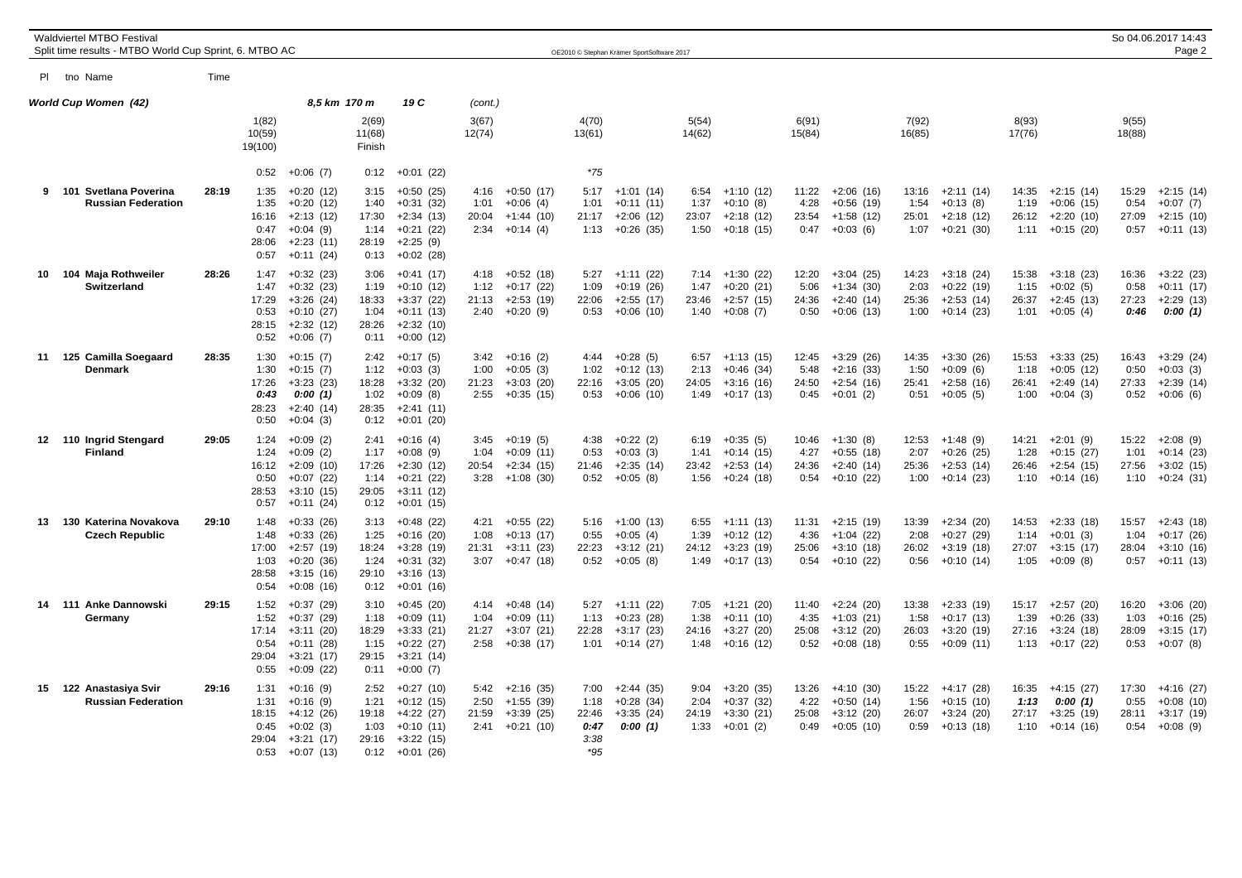| Waldviertel MTBO Festival<br>Split time results - MTBO World Cup Sprint, 6. MTBO AC<br>OE2010 © Stephan Krämer SportSoftware 2017 |                                                      |       |                                                |                                                                                        |                                                |                                                                                        |                               |                                                               |                                                |                                                          |                               |                                                          | So 04.06.2017 14:43<br>Page 2  |                                                          |                                |                                                                |                                |                                                          |                                |                                                          |
|-----------------------------------------------------------------------------------------------------------------------------------|------------------------------------------------------|-------|------------------------------------------------|----------------------------------------------------------------------------------------|------------------------------------------------|----------------------------------------------------------------------------------------|-------------------------------|---------------------------------------------------------------|------------------------------------------------|----------------------------------------------------------|-------------------------------|----------------------------------------------------------|--------------------------------|----------------------------------------------------------|--------------------------------|----------------------------------------------------------------|--------------------------------|----------------------------------------------------------|--------------------------------|----------------------------------------------------------|
|                                                                                                                                   | PI tho Name                                          | Time  |                                                |                                                                                        |                                                |                                                                                        |                               |                                                               |                                                |                                                          |                               |                                                          |                                |                                                          |                                |                                                                |                                |                                                          |                                |                                                          |
|                                                                                                                                   | World Cup Women (42)                                 |       |                                                | 8,5 km 170 m                                                                           |                                                | 19 C                                                                                   | (cont.)                       |                                                               |                                                |                                                          |                               |                                                          |                                |                                                          |                                |                                                                |                                |                                                          |                                |                                                          |
|                                                                                                                                   |                                                      |       | 1(82)<br>10(59)<br>19(100)                     |                                                                                        | 2(69)<br>11(68)<br>Finish                      |                                                                                        | 3(67)<br>12(74)               |                                                               | 4(70)<br>13(61)                                |                                                          | 5(54)<br>14(62)               |                                                          | 6(91)<br>15(84)                |                                                          | 7(92)<br>16(85)                |                                                                | 8(93)<br>17(76)                |                                                          | 9(55)<br>18(88)                |                                                          |
|                                                                                                                                   |                                                      |       | 0:52                                           | $+0:06(7)$                                                                             | 0:12                                           | $+0:01(22)$                                                                            |                               |                                                               | $*75$                                          |                                                          |                               |                                                          |                                |                                                          |                                |                                                                |                                |                                                          |                                |                                                          |
|                                                                                                                                   | 9 101 Svetlana Poverina<br><b>Russian Federation</b> | 28:19 | 1:35<br>1:35<br>16:16<br>0:47<br>28:06<br>0:57 | $+0:20(12)$<br>$+0:20(12)$<br>$+2:13(12)$<br>$+0:04(9)$<br>$+2:23(11)$<br>$+0:11(24)$  | 3:15<br>1:40<br>17:30<br>1:14<br>28:19<br>0:13 | $+0:50(25)$<br>$+0:31(32)$<br>$+2:34(13)$<br>$+0:21(22)$<br>$+2:25(9)$<br>$+0:02(28)$  | 4:16<br>1:01<br>20:04<br>2:34 | $+0:50(17)$<br>$+0:06(4)$<br>+1:44 (10)<br>$+0:14(4)$         | 5:17<br>1:01<br>21:17<br>1:13                  | $+1:01(14)$<br>$+0:11(11)$<br>$+2:06(12)$<br>$+0.26(35)$ | 6:54<br>1:37<br>23:07<br>1:50 | $+1:10(12)$<br>$+0:10(8)$<br>$+2:18(12)$<br>$+0:18(15)$  | 11:22<br>4:28<br>23:54<br>0:47 | $+2:06(16)$<br>$+0:56(19)$<br>$+1:58(12)$<br>$+0:03(6)$  | 13:16<br>1:54<br>25:01<br>1:07 | $+2:11(14)$<br>$+0:13(8)$<br>$+2:18(12)$<br>$+0:21(30)$        | 14:35<br>1:19<br>26:12<br>1:11 | $+2:15(14)$<br>$+0:06(15)$<br>$+2:20(10)$<br>$+0:15(20)$ | 15:29<br>0:54<br>27:09<br>0:57 | $+2:15(14)$<br>$+0:07(7)$<br>$+2:15(10)$<br>$+0:11(13)$  |
|                                                                                                                                   | 10 104 Maja Rothweiler<br><b>Switzerland</b>         | 28:26 | 1:47<br>1:47<br>17:29<br>0:53<br>28:15<br>0:52 | $+0:32(23)$<br>$+0:32(23)$<br>$+3:26(24)$<br>$+0:10(27)$<br>$+2:32(12)$<br>$+0:06(7)$  | 3:06<br>1:19<br>18:33<br>1:04<br>28:26<br>0:11 | $+0:41(17)$<br>$+0:10(12)$<br>$+3:37(22)$<br>$+0:11(13)$<br>$+2:32(10)$<br>$+0:00(12)$ | 4:18<br>1:12<br>21:13         | $+0:52(18)$<br>$+0:17(22)$<br>$+2:53(19)$<br>$2:40 +0:20(9)$  | 5:27<br>1:09<br>22:06<br>0:53                  | $+1:11(22)$<br>$+0:19(26)$<br>$+2:55(17)$<br>$+0:06(10)$ | 7:14<br>1:47<br>23:46<br>1:40 | $+1:30(22)$<br>$+0:20(21)$<br>$+2:57(15)$<br>$+0:08(7)$  | 12:20<br>5:06<br>24:36<br>0:50 | $+3:04(25)$<br>$+1:34(30)$<br>$+2:40(14)$<br>$+0:06(13)$ | 14:23<br>2:03<br>25:36<br>1:00 | $+3:18(24)$<br>$+0:22(19)$<br>$+2:53(14)$<br>$+0:14(23)$       | 15:38<br>1:15<br>26:37<br>1:01 | $+3:18(23)$<br>$+0:02(5)$<br>$+2:45(13)$<br>$+0:05(4)$   | 16:36<br>0:58<br>27:23<br>0:46 | $+3:22(23)$<br>$+0:11(17)$<br>$+2:29(13)$<br>0:00(1)     |
| 11                                                                                                                                | 125 Camilla Soegaard<br>Denmark                      | 28:35 | 1:30<br>1:30<br>17:26<br>0:43<br>28:23<br>0:50 | $+0:15(7)$<br>$+0:15(7)$<br>$+3:23(23)$<br>0:00(1)<br>$+2:40(14)$<br>$+0:04(3)$        | 2:42<br>1:12<br>18:28<br>1:02<br>28:35<br>0:12 | $+0:17(5)$<br>$+0:03(3)$<br>$+3:32(20)$<br>$+0:09(8)$<br>$+2:41(11)$<br>$+0:01(20)$    | 3:42<br>1:00<br>21:23<br>2:55 | $+0:16(2)$<br>$+0:05(3)$<br>$+3:03(20)$<br>$+0:35(15)$        | 4:44<br>1:02<br>22:16<br>0:53                  | $+0:28(5)$<br>$+0:12(13)$<br>$+3:05(20)$<br>$+0:06(10)$  | 6:57<br>2:13<br>24:05<br>1:49 | $+1:13(15)$<br>$+0:46(34)$<br>$+3:16(16)$<br>$+0:17(13)$ | 12:45<br>5:48<br>24:50<br>0:45 | $+3:29(26)$<br>$+2:16(33)$<br>$+2:54(16)$<br>$+0:01(2)$  | 14:35<br>1:50<br>25:41<br>0:51 | $+3:30(26)$<br>$+0:09(6)$<br>$+2:58(16)$<br>$+0:05(5)$         | 15:53<br>1:18<br>26:41<br>1:00 | $+3:33(25)$<br>$+0:05(12)$<br>$+2:49(14)$<br>$+0:04(3)$  | 16:43<br>0:50<br>27:33<br>0:52 | $+3:29(24)$<br>$+0:03(3)$<br>$+2:39(14)$<br>$+0:06(6)$   |
|                                                                                                                                   | 12 110 Ingrid Stengard<br><b>Finland</b>             | 29:05 | 1:24<br>1:24<br>16:12<br>0:50<br>28:53<br>0:57 | $+0:09(2)$<br>$+0:09(2)$<br>$+2:09(10)$<br>$+0:07(22)$<br>$+3:10(15)$<br>$+0:11(24)$   | 2:41<br>1:17<br>17:26<br>1:14<br>29:05<br>0:12 | $+0:16(4)$<br>$+0:08(9)$<br>$+2:30(12)$<br>$+0:21(22)$<br>$+3:11(12)$<br>$+0:01(15)$   | 3:45<br>1:04<br>20:54<br>3:28 | $+0:19(5)$<br>$+0:09(11)$<br>$+2:34(15)$<br>$+1:08(30)$       | 4:38<br>0:53<br>21:46<br>0:52                  | $+0:22(2)$<br>$+0:03(3)$<br>$+2:35(14)$<br>$+0:05(8)$    | 6:19<br>1:41<br>23:42<br>1:56 | $+0:35(5)$<br>$+0:14(15)$<br>$+2:53(14)$<br>$+0:24(18)$  | 10:46<br>4:27<br>24:36<br>0:54 | $+1:30(8)$<br>$+0:55(18)$<br>$+2:40(14)$<br>$+0:10(22)$  | 12:53<br>2:07<br>25:36<br>1:00 | $+1:48(9)$<br>$+0:26(25)$<br>$+2:53(14)$<br>$+0:14(23)$        | 14:21<br>1:28<br>26:46<br>1:10 | $+2:01(9)$<br>$+0:15(27)$<br>$+2:54(15)$<br>$+0:14(16)$  | 15:22<br>1:01<br>27:56<br>1:10 | $+2:08(9)$<br>$+0:14(23)$<br>$+3:02(15)$<br>$+0:24(31)$  |
| 13                                                                                                                                | 130 Katerina Novakova<br><b>Czech Republic</b>       | 29:10 | 1:48<br>1:48<br>17:00<br>1:03<br>28:58<br>0:54 | $+0:33(26)$<br>$+0:33(26)$<br>$+2:57(19)$<br>$+0:20(36)$<br>$+3:15(16)$<br>$+0.08(16)$ | 3:13<br>1:25<br>18:24<br>1:24<br>29:10<br>0:12 | $+0:48(22)$<br>$+0:16(20)$<br>$+3:28(19)$<br>$+0:31(32)$<br>$+3:16(13)$<br>$+0:01(16)$ | 4:21<br>1:08<br>21:31<br>3:07 | $+0:55(22)$<br>$+0:13(17)$<br>$+3:11(23)$<br>$+0:47(18)$      | 5:16<br>0:55<br>22:23<br>0:52                  | $+1:00(13)$<br>$+0:05(4)$<br>$+3:12(21)$<br>$+0:05(8)$   | 6:55<br>1:39<br>24:12<br>1:49 | $+1:11(13)$<br>$+0:12(12)$<br>$+3:23(19)$<br>+0:17 (13)  | 11:31<br>4:36<br>25:06<br>0:54 | $+2:15(19)$<br>$+1:04(22)$<br>$+3:10(18)$<br>$+0:10(22)$ | 13:39<br>2:08<br>26:02<br>0:56 | $+2:34(20)$<br>$+0:27(29)$<br>$+3:19(18)$<br>+0:10 (14)        | 14:53<br>1:14<br>27:07<br>1:05 | $+2:33(18)$<br>$+0:01(3)$<br>$+3:15(17)$<br>$+0:09(8)$   | 15:57<br>1:04<br>28:04<br>0:57 | $+2:43(18)$<br>$+0:17(26)$<br>$+3:10(16)$<br>$+0:11(13)$ |
| 14                                                                                                                                | 111 Anke Dannowski<br>Germany                        | 29:15 | 1:52<br>1:52<br>17:14<br>0:54<br>29:04<br>0:55 | $+0:37(29)$<br>$+0:37(29)$<br>$+3:11(20)$<br>$+0:11(28)$<br>$+3:21(17)$<br>$+0:09(22)$ | 3:10<br>1:18<br>18:29<br>1:15<br>29:15<br>0:11 | $+0:45(20)$<br>$+0:09(11)$<br>$+3:33(21)$<br>$+0:22(27)$<br>$+3:21(14)$<br>$+0:00(7)$  | 4:14<br>1:04<br>21:27<br>2:58 | $+0.48(14)$<br>$+0:09(11)$<br>$+3:07(21)$<br>$+0:38(17)$      | 5:27<br>1:13<br>22:28<br>1:01                  | $+1:11(22)$<br>$+0:23(28)$<br>$+3:17(23)$<br>$+0:14(27)$ | 7:05<br>1:38<br>24:16<br>1:48 | +1:21 (20)<br>$+0:11(10)$<br>$+3:27(20)$<br>$+0:16(12)$  | 11:40<br>4:35<br>25:08<br>0:52 | $+2:24(20)$<br>$+1:03(21)$<br>$+3:12(20)$<br>$+0:08(18)$ | 13:38<br>1:58<br>26:03<br>0:55 | $+2:33(19)$<br>$+0:17(13)$<br>$+3:20(19)$<br>$+0:09(11)$       | 15:17<br>1:39<br>27:16<br>1:13 | $+2:57(20)$<br>$+0:26(33)$<br>$+3:24(18)$<br>$+0:17(22)$ | 16:20<br>1:03<br>28:09<br>0:53 | $+3:06(20)$<br>$+0:16(25)$<br>$+3:15(17)$<br>$+0:07(8)$  |
|                                                                                                                                   | 15 122 Anastasiya Svir<br><b>Russian Federation</b>  | 29:16 | 1:31<br>1:31<br>18:15<br>0:45<br>29:04<br>0:53 | $+0:16(9)$<br>$+0:16(9)$<br>+4:12 (26)<br>$+0:02(3)$<br>$+3:21(17)$<br>$+0:07(13)$     | 2:52<br>1:21<br>19:18<br>1:03<br>29:16<br>0:12 | $+0:27(10)$<br>$+0:12(15)$<br>+4:22 (27)<br>$+0:10(11)$<br>+3:22 (15)<br>$+0:01(26)$   | 2:50<br>21:59<br>2:41         | $5:42 +2:16$ (35)<br>$+1:55(39)$<br>$+3:39(25)$<br>+0:21 (10) | 7:00<br>1:18<br>22:46<br>0:47<br>3:38<br>$*95$ | $+2:44(35)$<br>$+0:28(34)$<br>$+3:35(24)$<br>0:00(1)     | 9:04<br>2:04<br>24:19<br>1:33 | $+3:20(35)$<br>$+0:37(32)$<br>$+3:30(21)$<br>$+0:01(2)$  | 13:26<br>4:22<br>25:08<br>0:49 | $+4:10(30)$<br>$+0:50(14)$<br>$+3:12(20)$<br>$+0:05(10)$ | 1:56<br>26:07<br>0:59          | $15:22 +4:17(28)$<br>$+0:15(10)$<br>$+3:24(20)$<br>$+0:13(18)$ | 16:35<br>1:13<br>27:17<br>1:10 | $+4:15(27)$<br>0:00(1)<br>$+3:25(19)$<br>$+0:14(16)$     | 17:30<br>0:55<br>28:11<br>0:54 | +4:16 (27)<br>$+0:08(10)$<br>$+3:17(19)$<br>$+0:08(9)$   |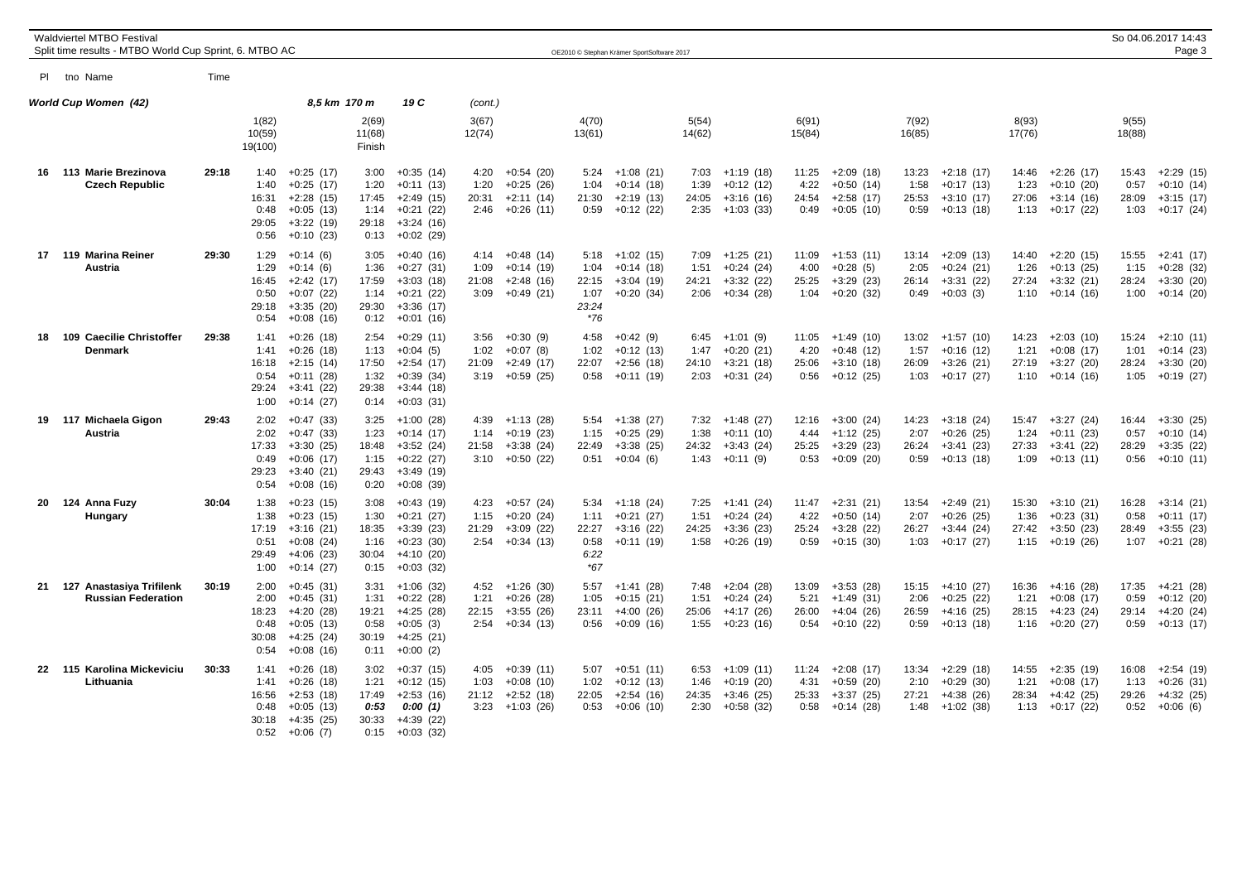|    | <b>Waldviertel MTBO Festival</b><br>Split time results - MTBO World Cup Sprint, 6. MTBO AC |       |                                                |                                                                                        |                                                |                                                                                        |                               |                                                                      |                                                 | OE2010 © Stephan Krämer SportSoftware 2017                    |                               |                                                                   |                                |                                                          |                                |                                                          |                                |                                                                 |                                | So 04.06.2017 14:43<br>Page 3                            |
|----|--------------------------------------------------------------------------------------------|-------|------------------------------------------------|----------------------------------------------------------------------------------------|------------------------------------------------|----------------------------------------------------------------------------------------|-------------------------------|----------------------------------------------------------------------|-------------------------------------------------|---------------------------------------------------------------|-------------------------------|-------------------------------------------------------------------|--------------------------------|----------------------------------------------------------|--------------------------------|----------------------------------------------------------|--------------------------------|-----------------------------------------------------------------|--------------------------------|----------------------------------------------------------|
|    | PI tho Name                                                                                | Time  |                                                |                                                                                        |                                                |                                                                                        |                               |                                                                      |                                                 |                                                               |                               |                                                                   |                                |                                                          |                                |                                                          |                                |                                                                 |                                |                                                          |
|    | World Cup Women (42)                                                                       |       |                                                | 8,5 km 170 m                                                                           |                                                | 19 C                                                                                   | (cont.)                       |                                                                      |                                                 |                                                               |                               |                                                                   |                                |                                                          |                                |                                                          |                                |                                                                 |                                |                                                          |
|    |                                                                                            |       | 1(82)<br>10(59)<br>19(100)                     |                                                                                        | 2(69)<br>11(68)<br>Finish                      |                                                                                        | 3(67)<br>12(74)               |                                                                      | 4(70)<br>13(61)                                 |                                                               | 5(54)<br>14(62)               |                                                                   | 6(91)<br>15(84)                |                                                          | 7(92)<br>16(85)                |                                                          | 8(93)<br>17(76)                |                                                                 | 9(55)<br>18(88)                |                                                          |
|    | 16 113 Marie Brezinova<br><b>Czech Republic</b>                                            | 29:18 | 1:40<br>1:40<br>16:31<br>0:48<br>29:05<br>0:56 | $+0:25(17)$<br>$+0:25(17)$<br>$+2:28(15)$<br>$+0:05(13)$<br>$+3:22(19)$<br>$+0:10(23)$ | 3:00<br>1:20<br>17:45<br>1:14<br>29:18<br>0:13 | $+0:35(14)$<br>$+0:11(13)$<br>$+2:49(15)$<br>$+0:21(22)$<br>$+3:24(16)$<br>$+0:02(29)$ | 4:20<br>1:20<br>20:31         | $+0.54(20)$<br>$+0:25(26)$<br>$+2:11(14)$<br>$2:46 + 0:26(11)$       | 5:24<br>1:04<br>21:30<br>0:59                   | $+1:08(21)$<br>$+0:14(18)$<br>$+2:19(13)$<br>$+0:12(22)$      | 7:03<br>1:39<br>24:05         | +1:19 (18)<br>$+0:12(12)$<br>$+3:16(16)$<br>$2:35$ +1:03 (33)     | 11:25<br>4:22<br>24:54<br>0:49 | $+2:09(18)$<br>$+0:50(14)$<br>$+2:58(17)$<br>$+0:05(10)$ | 13:23<br>1:58<br>25:53<br>0:59 | $+2:18(17)$<br>$+0:17(13)$<br>$+3:10(17)$<br>$+0:13(18)$ | 14:46<br>1:23<br>27:06         | $+2:26(17)$<br>$+0:10(20)$<br>$+3:14(16)$<br>$1:13 + 0:17(22)$  | 15:43<br>0:57<br>28:09<br>1:03 | $+2:29(15)$<br>$+0:10(14)$<br>$+3:15(17)$<br>$+0:17(24)$ |
|    | 17 119 Marina Reiner<br>Austria                                                            | 29:30 | 1:29<br>1:29<br>16:45<br>0:50<br>29:18<br>0:54 | $+0:14(6)$<br>$+0:14(6)$<br>$+2:42(17)$<br>$+0:07(22)$<br>$+3:35(20)$<br>$+0:08(16)$   | 3:05<br>1:36<br>17:59<br>1:14<br>29:30<br>0:12 | $+0:40(16)$<br>$+0:27(31)$<br>$+3:03(18)$<br>$+0:21(22)$<br>$+3:36(17)$<br>$+0:01(16)$ | 4:14<br>1:09<br>21:08<br>3:09 | $+0:48(14)$<br>$+0:14(19)$<br>$+2:48(16)$<br>$+0:49(21)$             | 5:18<br>1:04<br>22:15<br>1:07<br>23:24<br>$*76$ | +1:02 (15)<br>$+0:14(18)$<br>$+3:04(19)$<br>$+0:20(34)$       | 7:09<br>1:51<br>24:21<br>2:06 | $+1:25(21)$<br>$+0:24(24)$<br>$+3:32(22)$<br>$+0:34(28)$          | 11:09<br>4:00<br>25:25<br>1:04 | $+1:53(11)$<br>$+0:28(5)$<br>$+3:29(23)$<br>$+0:20(32)$  | 13:14<br>2:05<br>26:14<br>0:49 | +2:09 (13)<br>$+0:24(21)$<br>$+3:31(22)$<br>$+0:03(3)$   | 14:40<br>1:26<br>27:24<br>1:10 | +2:20 (15)<br>$+0:13(25)$<br>$+3:32(21)$<br>$+0:14(16)$         | 15:55<br>1:15<br>28:24<br>1:00 | $+2:41(17)$<br>$+0:28(32)$<br>$+3:30(20)$<br>$+0:14(20)$ |
| 18 | 109 Caecilie Christoffer<br>Denmark                                                        | 29:38 | 1:41<br>1:41<br>16:18<br>0:54<br>29:24<br>1:00 | $+0:26(18)$<br>$+0:26(18)$<br>$+2:15(14)$<br>$+0:11(28)$<br>$+3:41(22)$<br>$+0:14(27)$ | 2:54<br>1:13<br>17:50<br>1:32<br>29:38<br>0:14 | $+0:29(11)$<br>$+0:04(5)$<br>$+2:54(17)$<br>$+0:39(34)$<br>$+3:44(18)$<br>$+0:03(31)$  | 3:56<br>1:02<br>21:09         | $+0:30(9)$<br>$+0:07(8)$<br>$+2:49(17)$<br>$3:19 + 0:59(25)$         | 4:58<br>1:02<br>22:07<br>0:58                   | $+0:42(9)$<br>$+0:12(13)$<br>$+2:56(18)$<br>$+0:11(19)$       | 6:45<br>1:47<br>24:10<br>2:03 | $+1:01(9)$<br>$+0:20(21)$<br>$+3:21(18)$<br>$+0:31(24)$           | 11:05<br>4:20<br>25:06<br>0:56 | $+1:49(10)$<br>$+0:48(12)$<br>$+3:10(18)$<br>$+0:12(25)$ | 13:02<br>1:57<br>26:09<br>1:03 | $+1:57(10)$<br>$+0:16(12)$<br>$+3:26(21)$<br>$+0:17(27)$ | 14:23<br>1:21<br>27:19         | $+2:03(10)$<br>$+0:08(17)$<br>$+3:27(20)$<br>$1:10 + 0:14(16)$  | 15:24<br>1:01<br>28:24<br>1:05 | $+2:10(11)$<br>$+0:14(23)$<br>$+3:30(20)$<br>$+0:19(27)$ |
|    | 19 117 Michaela Gigon<br><b>Austria</b>                                                    | 29:43 | 2:02<br>2:02<br>17:33<br>0:49<br>29:23<br>0:54 | $+0:47(33)$<br>$+0:47(33)$<br>$+3:30(25)$<br>$+0:06(17)$<br>$+3:40(21)$<br>$+0:08(16)$ | 3:25<br>1:23<br>18:48<br>1:15<br>29:43<br>0:20 | $+1:00(28)$<br>$+0:14(17)$<br>$+3:52(24)$<br>$+0:22(27)$<br>$+3:49(19)$<br>$+0:08(39)$ | 1:14<br>21:58                 | $4:39 +1:13(28)$<br>$+0:19(23)$<br>$+3:38(24)$<br>$3:10 + 0:50$ (22) | 5:54<br>1:15<br>22:49                           | $+1:38(27)$<br>$+0:25(29)$<br>$+3:38(25)$<br>$0:51 + 0:04(6)$ | 1:38<br>24:32                 | $7:32 +1:48(27)$<br>$+0:11(10)$<br>$+3:43(24)$<br>$1:43 +0:11(9)$ | 12:16<br>4:44<br>25:25<br>0:53 | $+3:00(24)$<br>$+1:12(25)$<br>$+3:29(23)$<br>$+0:09(20)$ | 14:23<br>2:07<br>26:24<br>0:59 | +3:18 (24)<br>$+0:26(25)$<br>$+3:41(23)$<br>$+0:13(18)$  | 1:24<br>27:33<br>1:09          | $15:47 +3:27$ (24)<br>$+0:11(23)$<br>$+3:41(22)$<br>$+0:13(11)$ | 16:44<br>0:57<br>28:29<br>0:56 | $+3:30(25)$<br>$+0:10(14)$<br>$+3:35(22)$<br>$+0:10(11)$ |
| 20 | 124 Anna Fuzy<br>Hungary                                                                   | 30:04 | 1:38<br>1:38<br>17:19<br>0:51<br>29:49<br>1:00 | $+0:23(15)$<br>$+0:23(15)$<br>$+3:16(21)$<br>$+0:08(24)$<br>$+4:06(23)$<br>$+0:14(27)$ | 3:08<br>1:30<br>18:35<br>1:16<br>30:04<br>0:15 | $+0:43(19)$<br>$+0:21(27)$<br>$+3:39(23)$<br>$+0:23(30)$<br>+4:10 (20)<br>$+0:03(32)$  | 4:23<br>1:15<br>21:29<br>2:54 | $+0:57(24)$<br>$+0:20(24)$<br>$+3:09(22)$<br>$+0:34(13)$             | 5:34<br>1:11<br>22:27<br>0:58<br>6:22<br>$*67$  | $+1:18(24)$<br>$+0:21(27)$<br>$+3:16(22)$<br>$+0:11(19)$      | 7:25<br>1:51<br>24:25<br>1:58 | $+1:41(24)$<br>$+0:24(24)$<br>$+3:36(23)$<br>$+0:26(19)$          | 11:47<br>4:22<br>25:24<br>0:59 | $+2:31(21)$<br>$+0:50(14)$<br>$+3:28(22)$<br>$+0:15(30)$ | 13:54<br>2:07<br>26:27<br>1:03 | $+2:49(21)$<br>$+0:26(25)$<br>$+3:44(24)$<br>$+0:17(27)$ | 15:30<br>1:36<br>27:42         | $+3:10(21)$<br>$+0:23(31)$<br>$+3:50(23)$<br>$1:15 + 0:19(26)$  | 16:28<br>0:58<br>28:49<br>1:07 | $+3:14(21)$<br>$+0:11(17)$<br>$+3:55(23)$<br>$+0:21(28)$ |
| 21 | Anastasiya Trifilenk<br>127<br><b>Russian Federation</b>                                   | 30:19 | 2:00<br>2:00<br>18:23<br>0:48<br>30:08<br>0:54 | $+0:45(31)$<br>$+0:45(31)$<br>$+4:20(28)$<br>$+0:05(13)$<br>$+4:25(24)$<br>$+0:08(16)$ | 3:31<br>1:31<br>19:21<br>0:58<br>30:19<br>0:11 | $+1:06(32)$<br>$+0:22(28)$<br>$+4:25(28)$<br>$+0:05(3)$<br>+4:25 (21)<br>$+0:00(2)$    | 4:52<br>1:21<br>22:15<br>2:54 | $+1:26(30)$<br>$+0:26(28)$<br>$+3:55(26)$<br>$+0:34(13)$             | 5:57<br>1:05<br>23:11<br>0:56                   | +1:41 (28)<br>$+0:15(21)$<br>$+4:00(26)$<br>$+0.09(16)$       | 7:48<br>1:51<br>25:06<br>1:55 | $+2:04(28)$<br>$+0:24(24)$<br>$+4:17(26)$<br>$+0:23(16)$          | 13:09<br>5:21<br>26:00<br>0:54 | $+3:53(28)$<br>$+1:49(31)$<br>$+4:04(26)$<br>$+0:10(22)$ | 15:15<br>2:06<br>26:59<br>0:59 | $+4:10(27)$<br>$+0:25(22)$<br>$+4:16(25)$<br>$+0:13(18)$ | 16:36<br>1:21<br>28:15<br>1:16 | +4:16 (28)<br>$+0:08(17)$<br>$+4:23(24)$<br>$+0:20(27)$         | 17:35<br>0:59<br>29:14<br>0:59 | $+4:21(28)$<br>$+0:12(20)$<br>$+4:20(24)$<br>$+0:13(17)$ |
|    | 22 115 Karolina Mickeviciu<br>Lithuania                                                    | 30:33 | 1:41<br>1:41<br>16:56<br>0:48<br>30:18<br>0:52 | $+0:26(18)$<br>$+0:26(18)$<br>$+2:53(18)$<br>$+0:05(13)$<br>$+4:35(25)$<br>$+0:06(7)$  | 3:02<br>1:21<br>17:49<br>0:53<br>30:33<br>0:15 | $+0:37(15)$<br>$+0:12(15)$<br>$+2:53(16)$<br>0:00(1)<br>$+4:39(22)$<br>$+0:03(32)$     | 4:05<br>1:03<br>3:23          | $+0:39(11)$<br>$+0:08(10)$<br>$21:12 +2:52(18)$<br>$+1:03(26)$       | 5:07<br>1:02<br>22:05<br>0:53                   | $+0:51(11)$<br>$+0:12(13)$<br>$+2:54(16)$<br>$+0:06(10)$      | 6:53<br>1:46<br>24:35<br>2:30 | $+1:09(11)$<br>$+0:19(20)$<br>$+3:46(25)$<br>$+0:58(32)$          | 11:24<br>4:31<br>25:33<br>0:58 | $+2:08(17)$<br>$+0:59(20)$<br>$+3:37(25)$<br>$+0:14(28)$ | 13:34<br>2:10<br>27:21<br>1:48 | $+2:29(18)$<br>$+0:29(30)$<br>$+4:38(26)$<br>$+1:02(38)$ | 14:55<br>1:21<br>28:34<br>1:13 | $+2:35(19)$<br>$+0:08(17)$<br>+4:42 (25)<br>$+0:17(22)$         | 16:08<br>1:13<br>29:26<br>0:52 | $+2:54(19)$<br>$+0:26(31)$<br>$+4:32(25)$<br>$+0:06(6)$  |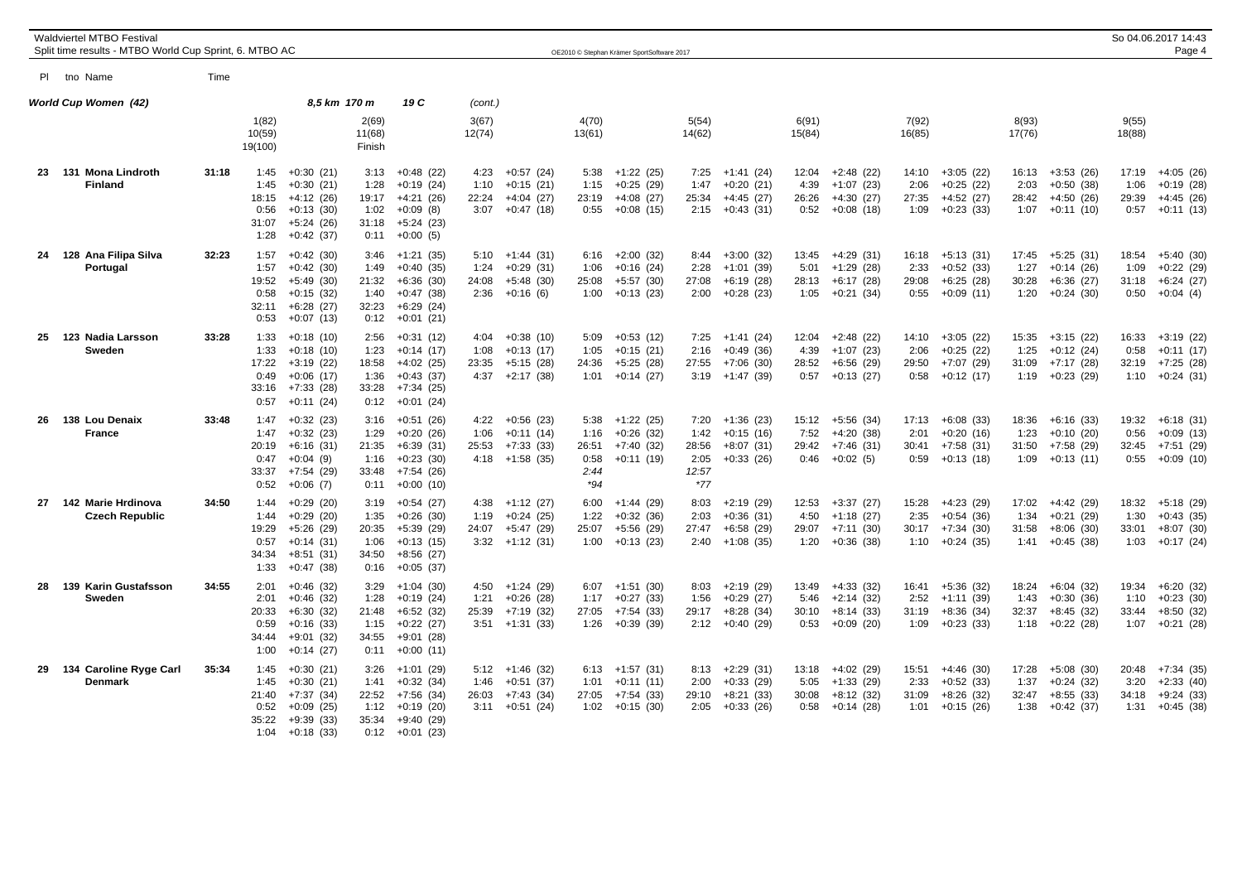|    | Waldviertel MTBO Festival<br>Split time results - MTBO World Cup Sprint, 6. MTBO AC |       |                                                |                                                                                        |                                                | OE2010 © Stephan Krämer SportSoftware 2017                                             |                               |                                                                       |                                              |                                                          |                                               |                                                                |  |                                |                                                          |                                |                                                          | So 04.06.2017 14:43<br>Page 4  |                                                                |                                |                                                          |
|----|-------------------------------------------------------------------------------------|-------|------------------------------------------------|----------------------------------------------------------------------------------------|------------------------------------------------|----------------------------------------------------------------------------------------|-------------------------------|-----------------------------------------------------------------------|----------------------------------------------|----------------------------------------------------------|-----------------------------------------------|----------------------------------------------------------------|--|--------------------------------|----------------------------------------------------------|--------------------------------|----------------------------------------------------------|--------------------------------|----------------------------------------------------------------|--------------------------------|----------------------------------------------------------|
|    | PI tho Name                                                                         | Time  |                                                |                                                                                        |                                                |                                                                                        |                               |                                                                       |                                              |                                                          |                                               |                                                                |  |                                |                                                          |                                |                                                          |                                |                                                                |                                |                                                          |
|    | World Cup Women (42)                                                                |       |                                                | 8,5 km 170 m                                                                           |                                                | 19 C                                                                                   | (cont.)                       |                                                                       |                                              |                                                          |                                               |                                                                |  |                                |                                                          |                                |                                                          |                                |                                                                |                                |                                                          |
|    |                                                                                     |       | 1(82)<br>10(59)<br>19(100)                     |                                                                                        | 2(69)<br>11(68)<br>Finish                      |                                                                                        | 3(67)<br>12(74)               |                                                                       | 4(70)<br>13(61)                              |                                                          | 5(54)<br>14(62)                               |                                                                |  | 6(91)<br>15(84)                |                                                          | 7(92)<br>16(85)                |                                                          | 8(93)<br>17(76)                |                                                                | 9(55)<br>18(88)                |                                                          |
| 23 | 131 Mona Lindroth<br><b>Finland</b>                                                 | 31:18 | 1:45<br>1:45<br>18:15<br>0:56<br>31:07<br>1:28 | $+0:30(21)$<br>$+0:30(21)$<br>$+4:12(26)$<br>$+0:13(30)$<br>$+5:24(26)$<br>$+0.42(37)$ | 3:13<br>1:28<br>19:17<br>1:02<br>31:18<br>0:11 | $+0:48(22)$<br>$+0:19(24)$<br>$+4:21(26)$<br>$+0:09(8)$<br>$+5:24(23)$<br>$+0:00(5)$   | 4:23<br>1:10<br>22:24         | $+0:57(24)$<br>$+0:15(21)$<br>$+4:04(27)$<br>$3:07 +0:47(18)$         | 5:38<br>1:15<br>23:19<br>0:55                | $+1:22(25)$<br>$+0:25(29)$<br>$+4:08(27)$<br>$+0:08(15)$ | 7:25<br>1:47<br>25:34                         | $+1:41(24)$<br>$+0:20(21)$<br>$+4:45(27)$<br>$2:15 + 0:43(31)$ |  | 12:04<br>4:39<br>26:26<br>0:52 | $+2:48(22)$<br>$+1:07(23)$<br>$+4:30(27)$<br>$+0:08(18)$ | 14:10<br>2:06<br>27:35<br>1:09 | $+3:05(22)$<br>$+0:25(22)$<br>$+4:52(27)$<br>$+0:23(33)$ | 16:13<br>2:03<br>28:42<br>1:07 | $+3:53(26)$<br>$+0:50(38)$<br>$+4:50(26)$<br>$+0:11(10)$       | 17:19<br>1:06<br>29:39<br>0:57 | $+4:05(26)$<br>$+0:19(28)$<br>$+4:45(26)$<br>$+0:11(13)$ |
| 24 | 128 Ana Filipa Silva<br>Portugal                                                    | 32:23 | 1:57<br>1:57<br>19:52<br>0:58<br>32:11<br>0:53 | $+0:42(30)$<br>$+0:42(30)$<br>$+5:49(30)$<br>$+0:15(32)$<br>$+6:28(27)$<br>$+0:07(13)$ | 3:46<br>1:49<br>21:32<br>1:40<br>32:23<br>0:12 | $+1:21(35)$<br>$+0:40(35)$<br>$+6:36(30)$<br>$+0:47(38)$<br>$+6:29(24)$<br>$+0:01(21)$ | 1:24<br>24:08<br>2:36         | $5:10 +1:44(31)$<br>$+0:29(31)$<br>$+5:48(30)$<br>$+0:16(6)$          | 6:16<br>1:06<br>25:08<br>1:00                | $+2:00(32)$<br>$+0:16(24)$<br>$+5:57(30)$<br>$+0:13(23)$ | 8:44<br>2:28<br>27:08<br>2:00                 | $+3:00(32)$<br>$+1:01(39)$<br>$+6:19(28)$<br>$+0:28(23)$       |  | 13:45<br>5:01<br>28:13<br>1:05 | $+4:29(31)$<br>$+1:29(28)$<br>$+6:17(28)$<br>$+0:21(34)$ | 16:18<br>2:33<br>29:08<br>0:55 | $+5:13(31)$<br>$+0:52(33)$<br>$+6:25(28)$<br>$+0:09(11)$ | 17:45<br>1:27<br>30:28<br>1:20 | $+5:25(31)$<br>$+0:14(26)$<br>$+6:36(27)$<br>$+0:24(30)$       | 18:54<br>1:09<br>31:18<br>0:50 | $+5:40(30)$<br>$+0:22(29)$<br>$+6:24(27)$<br>$+0:04(4)$  |
| 25 | 123 Nadia Larsson<br>Sweden                                                         | 33:28 | 1:33<br>1:33<br>17:22<br>0:49<br>33:16<br>0:57 | $+0:18(10)$<br>$+0:18(10)$<br>$+3:19(22)$<br>$+0:06(17)$<br>$+7:33(28)$<br>$+0:11(24)$ | 2:56<br>1:23<br>18:58<br>1:36<br>33:28<br>0:12 | $+0:31(12)$<br>$+0:14(17)$<br>$+4:02(25)$<br>$+0:43(37)$<br>$+7:34(25)$<br>$+0:01(24)$ | 4:04<br>1:08<br>23:35<br>4:37 | $+0:38(10)$<br>$+0:13(17)$<br>$+5:15(28)$<br>$+2:17(38)$              | 5:09<br>1:05<br>24:36<br>1:01                | $+0:53(12)$<br>$+0:15(21)$<br>$+5:25(28)$<br>$+0:14(27)$ | 7:25<br>2:16<br>27:55<br>3:19                 | $+1:41(24)$<br>$+0:49(36)$<br>$+7:06(30)$<br>+1:47 (39)        |  | 12:04<br>4:39<br>28:52<br>0:57 | $+2:48(22)$<br>$+1:07(23)$<br>$+6:56(29)$<br>+0:13 (27)  | 14:10<br>2:06<br>29:50<br>0:58 | $+3:05(22)$<br>$+0:25(22)$<br>$+7:07(29)$<br>$+0:12(17)$ | 15:35<br>1:25<br>31:09         | $+3:15(22)$<br>$+0:12(24)$<br>$+7:17(28)$<br>$1:19 + 0:23(29)$ | 16:33<br>0:58<br>32:19<br>1:10 | $+3:19(22)$<br>$+0:11(17)$<br>$+7:25(28)$<br>$+0:24(31)$ |
| 26 | 138 Lou Denaix<br><b>France</b>                                                     | 33:48 | 1:47<br>1:47<br>20:19<br>0:47<br>33:37<br>0:52 | $+0:32(23)$<br>$+0:32(23)$<br>$+6:16(31)$<br>$+0:04(9)$<br>+7:54 (29)<br>$+0:06(7)$    | 3:16<br>1:29<br>21:35<br>1:16<br>33:48<br>0:11 | $+0:51(26)$<br>$+0:20(26)$<br>$+6:39(31)$<br>$+0:23(30)$<br>+7:54 (26)<br>$+0:00(10)$  | 1:06<br>25:53                 | $4:22 + 0:56$ (23)<br>$+0:11(14)$<br>$+7:33(33)$<br>$4:18$ +1:58 (35) | 5:38<br>1:16<br>26:51<br>0:58<br>2:44<br>*94 | $+1:22(25)$<br>$+0.26(32)$<br>$+7:40(32)$<br>$+0:11(19)$ | 7:20<br>1:42<br>28:56<br>2:05<br>12:57<br>*77 | +1:36 (23)<br>$+0:15(16)$<br>$+8:07(31)$<br>$+0:33(26)$        |  | 15:12<br>7:52<br>29:42<br>0:46 | +5:56 (34)<br>$+4:20(38)$<br>$+7:46(31)$<br>$+0:02(5)$   | 17:13<br>2:01<br>30:41<br>0:59 | $+6:08(33)$<br>$+0:20(16)$<br>$+7:58(31)$<br>$+0:13(18)$ | 18:36<br>1:23<br>31:50<br>1:09 | $+6:16(33)$<br>$+0:10(20)$<br>$+7:58(29)$<br>$+0:13(11)$       | 19:32<br>0:56<br>32:45<br>0:55 | $+6:18(31)$<br>$+0:09(13)$<br>$+7:51(29)$<br>$+0.09(10)$ |
| 27 | 142 Marie Hrdinova<br><b>Czech Republic</b>                                         | 34:50 | 1:44<br>1:44<br>19:29<br>0:57<br>34:34<br>1:33 | $+0:29(20)$<br>$+0:29(20)$<br>$+5:26(29)$<br>$+0:14(31)$<br>$+8:51(31)$<br>$+0:47(38)$ | 3:19<br>1:35<br>20:35<br>1:06<br>34:50<br>0:16 | $+0:54(27)$<br>$+0:26(30)$<br>$+5:39(29)$<br>$+0:13(15)$<br>+8:56 (27)<br>$+0:05(37)$  | 1:19<br>24:07                 | $4:38$ +1:12 (27)<br>$+0:24(25)$<br>+5:47 (29)<br>$3:32 +1:12(31)$    | 6:00<br>1:22<br>25:07<br>1:00                | $+1:44(29)$<br>$+0:32(36)$<br>+5:56 (29)<br>$+0:13(23)$  | 8:03<br>2:03<br>27:47<br>2:40                 | $+2:19(29)$<br>$+0:36(31)$<br>$+6:58(29)$<br>$+1:08(35)$       |  | 12:53<br>4:50<br>29:07<br>1:20 | $+3:37(27)$<br>$+1:18(27)$<br>$+7:11(30)$<br>$+0:36(38)$ | 15:28<br>2:35<br>30:17<br>1:10 | $+4:23(29)$<br>$+0:54(36)$<br>$+7:34(30)$<br>$+0:24(35)$ | 17:02<br>1:34<br>31:58<br>1:41 | $+4:42(29)$<br>$+0:21(29)$<br>$+8:06(30)$<br>$+0:45(38)$       | 18:32<br>1:30<br>33:01<br>1:03 | $+5:18(29)$<br>$+0:43(35)$<br>$+8:07(30)$<br>$+0:17(24)$ |
| 28 | 139 Karin Gustafsson<br>Sweden                                                      | 34:55 | 2:01<br>2:01<br>20:33<br>0:59<br>34:44<br>1:00 | $+0:46(32)$<br>$+0:46(32)$<br>$+6:30(32)$<br>$+0:16(33)$<br>$+9:01(32)$<br>$+0:14(27)$ | 3:29<br>1:28<br>21:48<br>1:15<br>34:55<br>0:11 | $+1:04(30)$<br>$+0:19(24)$<br>$+6:52(32)$<br>$+0:22(27)$<br>+9:01 (28)<br>$+0:00(11)$  | 1:21<br>25:39<br>3:51         | $4:50 +1:24(29)$<br>$+0:26(28)$<br>$+7:19(32)$<br>$+1:31(33)$         | 6:07<br>1:17<br>27:05<br>1:26                | $+1:51(30)$<br>$+0:27(33)$<br>$+7:54(33)$<br>$+0:39(39)$ | 8:03<br>1:56<br>29:17<br>2:12                 | $+2:19(29)$<br>$+0:29(27)$<br>$+8:28(34)$<br>$+0:40(29)$       |  | 13:49<br>5:46<br>30:10<br>0:53 | $+4:33(32)$<br>$+2:14(32)$<br>$+8:14(33)$<br>$+0:09(20)$ | 16:41<br>2:52<br>31:19<br>1:09 | $+5:36(32)$<br>$+1:11(39)$<br>$+8:36(34)$<br>$+0:23(33)$ | 18:24<br>1:43<br>32:37<br>1:18 | $+6:04(32)$<br>$+0:30(36)$<br>$+8:45(32)$<br>$+0:22(28)$       | 19:34<br>1:10<br>33:44<br>1:07 | $+6:20(32)$<br>$+0:23(30)$<br>$+8:50(32)$<br>$+0:21(28)$ |
| 29 | 134 Caroline Ryge Carl<br>Denmark                                                   | 35:34 | 1:45<br>1:45<br>21:40<br>0:52<br>35:22<br>1:04 | $+0:30(21)$<br>$+0:30(21)$<br>+7:37 (34)<br>$+0:09(25)$<br>$+9:39(33)$<br>$+0:18(33)$  | 3:26<br>1:41<br>22:52<br>1:12<br>35:34<br>0:12 | +1:01 (29)<br>$+0:32(34)$<br>+7:56 (34)<br>$+0:19(20)$<br>+9:40 (29)<br>$+0:01(23)$    | 1:46<br>26:03<br>3:11         | $5:12 +1:46(32)$<br>$+0:51(37)$<br>+7:43 (34)<br>$+0:51(24)$          | 6:13<br>1:01<br>27:05<br>1:02                | $+1:57(31)$<br>$+0:11(11)$<br>$+7:54(33)$<br>$+0:15(30)$ | 8:13<br>2:00<br>29:10<br>2:05                 | $+2:29(31)$<br>$+0:33(29)$<br>$+8:21(33)$<br>$+0:33(26)$       |  | 13:18<br>5:05<br>30:08<br>0:58 | $+4:02(29)$<br>$+1:33(29)$<br>$+8:12(32)$<br>$+0:14(28)$ | 15:51<br>2:33<br>31:09<br>1:01 | $+4:46(30)$<br>$+0.52(33)$<br>$+8:26(32)$<br>$+0:15(26)$ | 17:28<br>1:37<br>32:47<br>1:38 | $+5:08(30)$<br>$+0:24(32)$<br>$+8:55(33)$<br>$+0:42(37)$       | 20:48<br>3:20<br>34:18<br>1:31 | $+7:34(35)$<br>$+2:33(40)$<br>$+9:24(33)$<br>$+0:45(38)$ |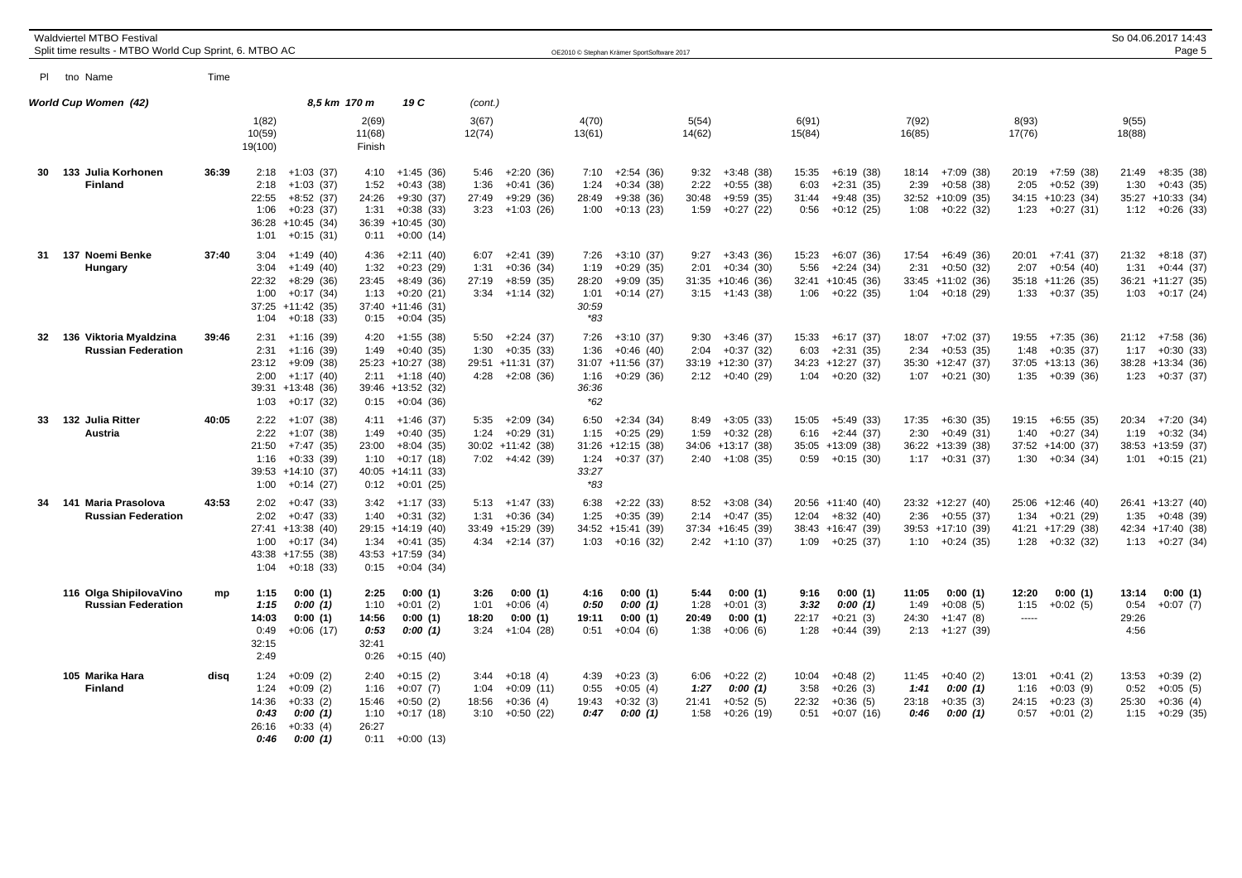|    | Waldviertel MTBO Festival<br>Split time results - MTBO World Cup Sprint, 6. MTBO AC |       |                                                                                                                                         |                                                                                                                                       |                               |                                                                           | OE2010 © Stephan Krämer SportSoftware 2017                                                                  |                               |                                                                         |                                                                                            |                                                                                      |                                                                                       | So 04.06.2017 14:43<br>Page 5                                                          |
|----|-------------------------------------------------------------------------------------|-------|-----------------------------------------------------------------------------------------------------------------------------------------|---------------------------------------------------------------------------------------------------------------------------------------|-------------------------------|---------------------------------------------------------------------------|-------------------------------------------------------------------------------------------------------------|-------------------------------|-------------------------------------------------------------------------|--------------------------------------------------------------------------------------------|--------------------------------------------------------------------------------------|---------------------------------------------------------------------------------------|----------------------------------------------------------------------------------------|
|    | PI tno Name                                                                         | Time  |                                                                                                                                         |                                                                                                                                       |                               |                                                                           |                                                                                                             |                               |                                                                         |                                                                                            |                                                                                      |                                                                                       |                                                                                        |
|    | World Cup Women (42)                                                                |       | 8.5 km 170 m                                                                                                                            | 19 C                                                                                                                                  | (cont.)                       |                                                                           |                                                                                                             |                               |                                                                         |                                                                                            |                                                                                      |                                                                                       |                                                                                        |
|    |                                                                                     |       | 1(82)<br>10(59)<br>19(100)                                                                                                              | 2(69)<br>11(68)<br>Finish                                                                                                             | 3(67)<br>12(74)               |                                                                           | 4(70)<br>13(61)                                                                                             | 5(54)<br>14(62)               |                                                                         | 6(91)<br>15(84)                                                                            | 7(92)<br>16(85)                                                                      | 8(93)<br>17(76)                                                                       | 9(55)<br>18(88)                                                                        |
| 30 | 133 Julia Korhonen<br><b>Finland</b>                                                | 36:39 | $2:18 +1:03(37)$<br>2:18<br>$+1:03(37)$<br>22:55<br>$+8:52(37)$<br>1:06<br>$+0:23(37)$<br>36:28 +10:45 (34)<br>1:01<br>$+0:15(31)$      | $+1:45(36)$<br>4:10<br>1:52<br>$+0:43(38)$<br>24:26<br>$+9:30(37)$<br>1:31<br>$+0:38(33)$<br>36:39 +10:45 (30)<br>$+0:00(14)$<br>0:11 | 5:46<br>1:36<br>27:49         | $+2:20(36)$<br>$+0:41(36)$<br>$+9:29(36)$<br>$3:23 +1:03(26)$             | 7:10<br>$+2:54(36)$<br>1:24<br>$+0:34(38)$<br>28:49<br>$+9:38(36)$<br>$+0:13(23)$<br>1:00                   | 9:32<br>2:22<br>30:48<br>1:59 | $+3:48(38)$<br>$+0:55(38)$<br>$+9:59(35)$<br>$+0:27(22)$                | 15:35<br>$+6:19(38)$<br>6:03<br>$+2:31(35)$<br>31:44<br>$+9:48(35)$<br>$+0:12(25)$<br>0:56 | $18:14 + 7:09(38)$<br>2:39<br>$+0.58(38)$<br>32:52 +10:09 (35)<br>$1:08 + 0:22(32)$  | 20:19 +7:59 (38)<br>2:05<br>$+0:52(39)$<br>34:15 +10:23 (34)<br>$1:23 +0:27(31)$      | 21:49<br>$+8:35(38)$<br>1:30<br>$+0:43(35)$<br>35:27 +10:33 (34)<br>$1:12 + 0:26$ (33) |
| 31 | 137 Noemi Benke<br>Hungary                                                          | 37:40 | $+1:49(40)$<br>3:04<br>3:04<br>$+1:49(40)$<br>22:32<br>$+8:29(36)$<br>1:00<br>$+0:17(34)$<br>$37:25 +11:42$ (35)<br>$+0:18(33)$<br>1:04 | $+2:11(40)$<br>4:36<br>1:32<br>$+0:23(29)$<br>23:45<br>$+8:49(36)$<br>$+0:20(21)$<br>1:13<br>37:40 +11:46 (31)<br>$+0:04(35)$<br>0:15 | 6:07<br>1:31<br>27:19<br>3:34 | $+2:41(39)$<br>$+0:36(34)$<br>$+8:59(35)$<br>$+1:14(32)$                  | $+3:10(37)$<br>7:26<br>1:19<br>$+0.29(35)$<br>$+9:09(35)$<br>28:20<br>1:01<br>$+0:14(27)$<br>30:59<br>$*83$ | 9:27<br>2:01                  | $+3:43(36)$<br>$+0:34(30)$<br>$31:35 + 10:46$ (36)<br>$3:15 +1:43$ (38) | $+6:07(36)$<br>15:23<br>5:56<br>$+2:24(34)$<br>32:41 +10:45 (36)<br>$+0:22(35)$<br>1:06    | +6:49 (36)<br>17:54<br>2:31<br>+0:50 (32)<br>33:45 +11:02 (36)<br>+0:18 (29)<br>1:04 | $20:01 + 7:41(37)$<br>2:07<br>$+0:54(40)$<br>35:18 +11:26 (35)<br>1:33<br>$+0:37(35)$ | $21:32 +8:18(37)$<br>1:31<br>$+0:44(37)$<br>36:21 +11:27 (35)<br>1:03<br>$+0:17(24)$   |
| 32 | 136 Viktoria Myaldzina<br><b>Russian Federation</b>                                 | 39:46 | 2:31<br>$+1:16(39)$<br>2:31<br>$+1:16(39)$<br>$+9:09(38)$<br>23:12<br>2:00<br>$+1:17(40)$<br>39:31 +13:48 (36)<br>1:03<br>$+0:17(32)$   | $4:20 +1:55$ (38)<br>1:49<br>$+0:40(35)$<br>25:23 +10:27 (38)<br>$+1:18(40)$<br>2:11<br>39:46 +13:52 (32)<br>$+0:04(36)$<br>0:15      | 1:30                          | $5:50 +2:24(37)$<br>$+0:35(33)$<br>29:51 +11:31 (37)<br>$4:28 +2:08$ (36) | 7:26<br>$+3:10(37)$<br>1:36<br>$+0:46(40)$<br>$31:07 +11:56$ (37)<br>$+0:29(36)$<br>1:16<br>36:36<br>$*62$  | 9:30<br>2:04                  | $+3:46(37)$<br>$+0:37(32)$<br>33:19 +12:30 (37)<br>$2:12 + 0:40(29)$    | $+6:17(37)$<br>15:33<br>6:03<br>$+2:31(35)$<br>34:23 +12:27 (37)<br>$1:04 +0:20(32)$       | 18:07 +7:02 (37)<br>2:34<br>$+0:53(35)$<br>35:30 +12:47 (37)<br>$1:07 +0:21(30)$     | +7:35 (36)<br>19:55<br>1:48<br>$+0:35(37)$<br>37:05 +13:13 (36)<br>$1:35 + 0:39(36)$  | $21:12 + 7:58$ (36)<br>1:17<br>$+0:30(33)$<br>38:28 +13:34 (36)<br>$1:23 +0:37(37)$    |
| 33 | 132 Julia Ritter<br>Austria                                                         | 40:05 | 2:22<br>+1:07 (38)<br>2:22<br>$+1:07(38)$<br>21:50<br>$+7:47(35)$<br>1:16<br>$+0:33(39)$<br>39:53 +14:10 (37)<br>1:00<br>$+0:14(27)$    | 4:11<br>+1:46 (37)<br>$+0:40(35)$<br>1:49<br>23:00<br>$+8:04(35)$<br>$+0:17(18)$<br>1:10<br>$40:05 +14:11(33)$<br>$+0:01(25)$<br>0:12 | 1:24                          | $5:35 +2:09(34)$<br>$+0:29(31)$<br>30:02 +11:42 (38)<br>$7:02 +4:42(39)$  | 6:50<br>+2:34 (34)<br>$+0:25(29)$<br>1:15<br>$31:26 + 12:15$ (38)<br>$+0:37(37)$<br>1:24<br>33:27<br>$*83$  | 8:49<br>1:59                  | $+3:05(33)$<br>$+0:32(28)$<br>34:06 +13:17 (38)<br>$2:40 +1:08(35)$     | 15:05<br>+5:49 (33)<br>$+2:44(37)$<br>6:16<br>35:05 +13:09 (38)<br>$0:59 + 0:15(30)$       | 17:35<br>+6:30 (35)<br>2:30<br>$+0:49(31)$<br>36:22 +13:39 (38)<br>$1:17 + 0:31(37)$ | 19:15 +6:55 (35)<br>1:40<br>$+0:27(34)$<br>37:52 +14:00 (37)<br>$1:30 + 0:34(34)$     | $+7:20(34)$<br>20:34<br>1:19<br>$+0:32(34)$<br>38:53 +13:59 (37)<br>$1:01 + 0:15(21)$  |
| 34 | 141 Maria Prasolova<br><b>Russian Federation</b>                                    | 43:53 | 2:02<br>$+0:47(33)$<br>2:02<br>$+0:47(33)$<br>27:41 +13:38 (40)<br>1:00<br>$+0:17(34)$<br>43:38 +17:55 (38)<br>1:04<br>$+0:18(33)$      | $3:42 +1:17(33)$<br>$+0:31(32)$<br>1:40<br>29:15 +14:19 (40)<br>1:34<br>$+0:41(35)$<br>43:53 +17:59 (34)<br>0:15<br>$+0:04(34)$       | 1:31                          | $5:13 +1:47$ (33)<br>$+0:36(34)$<br>33:49 +15:29 (39)<br>$4:34 +2:14(37)$ | $+2:22(33)$<br>6:38<br>1:25<br>$+0:35(39)$<br>$34:52 + 15:41$ (39)<br>$+0:16(32)$<br>1:03                   | 8:52<br>2:14                  | $+3:08(34)$<br>$+0:47(35)$<br>$37:34 + 16:45$ (39)<br>$2:42 +1:10(37)$  | 20:56 +11:40 (40)<br>12:04<br>$+8:32(40)$<br>38:43 +16:47 (39)<br>$1:09 +0:25(37)$         | 23:32 +12:27 (40)<br>2:36<br>$+0:55(37)$<br>39:53 +17:10 (39)<br>$1:10 + 0:24(35)$   | 25:06 +12:46 (40)<br>1:34<br>$+0:21(29)$<br>41:21 +17:29 (38)<br>$1:28 +0:32(32)$     | 26:41 +13:27 (40)<br>1:35<br>$+0.48(39)$<br>42:34 +17:40 (38)<br>$1:13 + 0:27(34)$     |
|    | 116 Olga ShipilovaVino<br><b>Russian Federation</b>                                 | mp    | 1:15<br>0:00(1)<br>1:15<br>0:00(1)<br>0:00(1)<br>14:03<br>0:49<br>$+0:06(17)$<br>32:15<br>2:49                                          | 2:25<br>0:00(1)<br>1:10<br>$+0:01(2)$<br>14:56<br>0:00(1)<br>0:53<br>0:00(1)<br>32:41<br>0:26<br>$+0:15(40)$                          | 3:26<br>1:01<br>18:20<br>3:24 | 0:00(1)<br>$+0:06(4)$<br>0:00(1)<br>$+1:04(28)$                           | 4:16<br>0:00(1)<br>0:00(1)<br>0:50<br>0:00(1)<br>19:11<br>0:51<br>$+0:04(6)$                                | 5:44<br>1:28<br>20:49<br>1:38 | 0:00(1)<br>$+0:01(3)$<br>0:00(1)<br>$+0:06(6)$                          | 9:16<br>0:00(1)<br>3:32<br>0:00(1)<br>$+0:21(3)$<br>22:17<br>1:28<br>$+0:44(39)$           | 0:00(1)<br>11:05<br>1:49<br>$+0:08(5)$<br>24:30<br>$+1:47(8)$<br>2:13<br>$+1:27(39)$ | 0:00(1)<br>12:20<br>1:15<br>$+0:02(5)$<br>$1 - 1 - 1$                                 | 0:00(1)<br>13:14<br>0:54<br>$+0:07(7)$<br>29:26<br>4:56                                |
|    | 105 Marika Hara<br><b>Finland</b>                                                   | disa  | 1:24<br>$+0:09(2)$<br>1:24<br>$+0:09(2)$<br>14:36<br>$+0:33(2)$<br>0:43<br>0:00(1)<br>26:16<br>$+0:33(4)$<br>0:00(1)<br>0:46            | $+0:15(2)$<br>2:40<br>$+0:07(7)$<br>1:16<br>15:46<br>$+0:50(2)$<br>1:10<br>$+0:17(18)$<br>26:27<br>0:11<br>$+0:00(13)$                | 1:04<br>18:56                 | $3:44 +0:18(4)$<br>$+0:09(11)$<br>$+0:36(4)$<br>$3:10 + 0:50$ (22)        | $+0:23(3)$<br>4:39<br>0:55<br>$+0:05(4)$<br>19:43<br>$+0:32(3)$<br>0:00(1)<br>0:47                          | 6:06<br>1:27<br>21:41<br>1:58 | $+0:22(2)$<br>0:00(1)<br>$+0:52(5)$<br>$+0:26(19)$                      | $+0:48(2)$<br>10:04<br>3:58<br>$+0:26(3)$<br>22:32<br>$+0:36(5)$<br>0:51<br>$+0:07(16)$    | 11:45<br>$+0:40(2)$<br>1:41<br>0:00(1)<br>23:18<br>$+0:35(3)$<br>0:00(1)<br>0:46     | 13:01<br>$+0:41(2)$<br>1:16<br>$+0:03(9)$<br>24:15<br>$+0:23(3)$<br>$0:57 + 0:01(2)$  | 13:53<br>$+0:39(2)$<br>$+0:05(5)$<br>0:52<br>25:30<br>$+0:36(4)$<br>$1:15 + 0:29(35)$  |